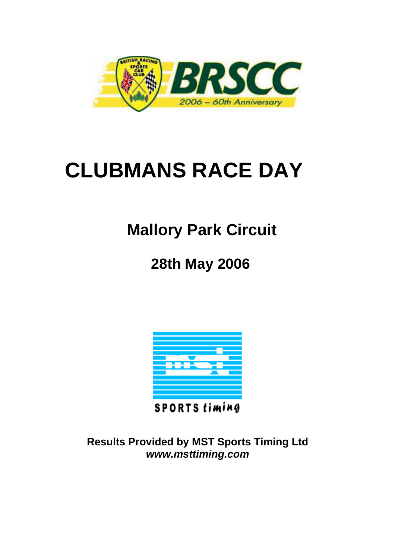

# **CLUBMANS RACE DAY**

## **Mallory Park Circuit**

### **28th May 2006**



**SPORTS timing** 

**Results Provided by MST Sports Timing Ltd**  *www.msttiming.com*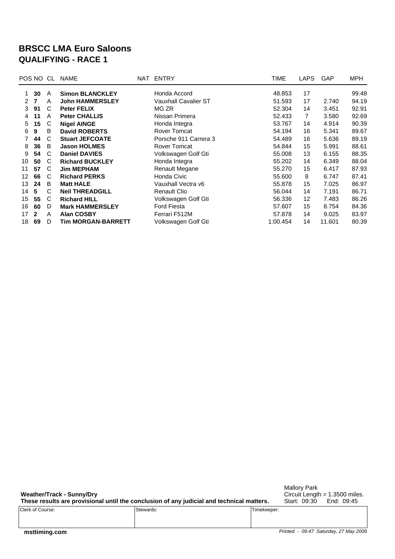#### **BRSCC LMA Euro Saloons QUALIFYING - RACE 1**

|                   | POS NO | CL. | <b>NAME</b>               | NAT ENTRY                   | TIME     | <b>LAPS</b>     | GAP    | MPH   |
|-------------------|--------|-----|---------------------------|-----------------------------|----------|-----------------|--------|-------|
|                   | 30     | A   | <b>Simon BLANCKLEY</b>    | Honda Accord                | 48.853   | 17              |        | 99.48 |
| 2                 | 7      | A   | <b>John HAMMERSLEY</b>    | <b>Vauxhall Cavalier ST</b> | 51.593   | 17              | 2.740  | 94.19 |
| 3                 | 91     | C   | <b>Peter FELIX</b>        | MG ZR                       | 52.304   | 14              | 3.451  | 92.91 |
| 4                 | 11     | A   | <b>Peter CHALLIS</b>      | Nissan Primera              | 52.433   | 7               | 3.580  | 92.69 |
| 5                 | 15     | C   | <b>Nigel AINGE</b>        | Honda Integra               | 53.767   | 14              | 4.914  | 90.39 |
| 6                 | 9      | B   | <b>David ROBERTS</b>      | <b>Rover Tomcat</b>         | 54.194   | 16              | 5.341  | 89.67 |
|                   | 44     | C   | <b>Stuart JEFCOATE</b>    | Porsche 911 Carrera 3       | 54.489   | 16              | 5.636  | 89.19 |
| 8                 | 36     | B   | <b>Jason HOLMES</b>       | <b>Rover Tomcat</b>         | 54.844   | 15              | 5.991  | 88.61 |
| 9                 | 54     | C   | <b>Daniel DAVIES</b>      | Volkswagen Golf Gti         | 55.008   | 13              | 6.155  | 88.35 |
| 10                | 50     | C   | <b>Richard BUCKLEY</b>    | Honda Integra               | 55.202   | 14              | 6.349  | 88.04 |
| 11                | 57     | C   | <b>Jim MEPHAM</b>         | Renault Megane              | 55.270   | 15              | 6.417  | 87.93 |
| $12 \overline{ }$ | 66     | C   | <b>Richard PERKS</b>      | Honda Civic                 | 55.600   | 8               | 6.747  | 87.41 |
| 13                | 24     | B   | <b>Matt HALE</b>          | Vauxhall Vectra v6          | 55.878   | 15              | 7.025  | 86.97 |
| 14                | 5      | C   | <b>Neil THREADGILL</b>    | <b>Renault Clio</b>         | 56.044   | 14              | 7.191  | 86.71 |
| 15                | 55     | C   | <b>Richard HILL</b>       | Volkswagen Golf Gti         | 56.336   | 12 <sup>2</sup> | 7.483  | 86.26 |
| 16                | 60     | D   | <b>Mark HAMMERSLEY</b>    | <b>Ford Fiesta</b>          | 57.607   | 15              | 8.754  | 84.36 |
| 17                | 2      | A   | <b>Alan COSBY</b>         | Ferrari F512M               | 57.878   | 14              | 9.025  | 83.97 |
| 18                | 69     | D   | <b>Tim MORGAN-BARRETT</b> | Volkswagen Golf Gti         | 1:00.454 | 14              | 11.601 | 80.39 |

**Weather/Track - Sunny/Dry These results are provisional until the conclusion of any judicial and technical matters.** Mallory Park

Circuit Length = 1.3500 miles. Start: 09:30 End: 09:45

|                  | ___       |             |
|------------------|-----------|-------------|
| Clerk of Course: | Stewards: | Timekeeper: |
|                  |           |             |
|                  |           |             |
|                  |           |             |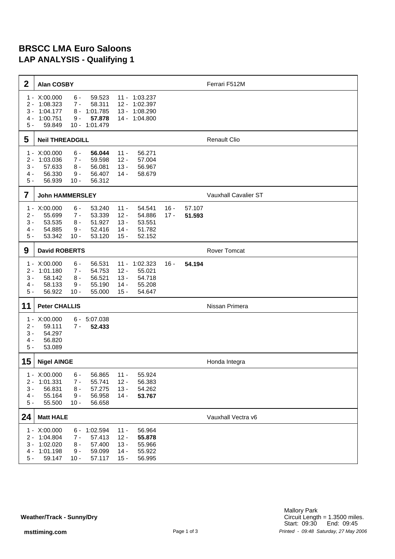#### **BRSCC LMA Euro Saloons LAP ANALYSIS - Qualifying 1**

| $\boldsymbol{2}$                          | <b>Alan COSBY</b>                                                                                    |                                                         |                                                |                                                        |                  |                  | Ferrari F512M        |
|-------------------------------------------|------------------------------------------------------------------------------------------------------|---------------------------------------------------------|------------------------------------------------|--------------------------------------------------------|------------------|------------------|----------------------|
| $1 -$<br>$2 -$<br>$3 -$<br>4 -<br>$5 -$   | X:00.000<br>$6 -$<br>1:08.323<br>$7 -$<br>1:04.177<br>8 -<br>1:00.751<br>$9 -$<br>59.849             | 59.523<br>58.311<br>1:01.785<br>57.878<br>10 - 1:01.479 | $12 -$<br>13 -                                 | 11 - 1:03.237<br>1:02.397<br>1:08.290<br>14 - 1:04.800 |                  |                  |                      |
| 5                                         | <b>Neil THREADGILL</b>                                                                               |                                                         |                                                |                                                        |                  |                  | <b>Renault Clio</b>  |
| $1 -$<br>$2 -$<br>$3 -$<br>4 -<br>$5 -$   | X:00.000<br>$6 -$<br>1:03.036<br>$7 -$<br>57.633<br>$8 -$<br>56.330<br>$9 -$<br>56.939<br>$10 -$     | 56.044<br>59.598<br>56.081<br>56.407<br>56.312          | $11 -$<br>$12 -$<br>$13 -$<br>14 -             | 56.271<br>57.004<br>56.967<br>58.679                   |                  |                  |                      |
| 7                                         | <b>John HAMMERSLEY</b>                                                                               |                                                         |                                                |                                                        |                  |                  | Vauxhall Cavalier ST |
| $1 -$<br>$2 -$<br>$3 -$<br>4 -<br>$5 -$   | X:00.000<br>$6 -$<br>55.699<br>$7 -$<br>53.535<br>$8 -$<br>54.885<br>$9 -$<br>53.342<br>$10 -$       | 53.240<br>53.339<br>51.927<br>52.416<br>53.120          | $11 -$<br>$12 -$<br>$13 -$<br>$14 -$<br>$15 -$ | 54.541<br>54.886<br>53.551<br>51.782<br>52.152         | $16 -$<br>$17 -$ | 57.107<br>51.593 |                      |
| 9                                         | <b>David ROBERTS</b>                                                                                 |                                                         |                                                |                                                        |                  |                  | <b>Rover Tomcat</b>  |
| $1 -$<br>$2 -$<br>$3 -$<br>4 -<br>$5 -$   | X:00.000<br>$6 -$<br>1:01.180<br>$7 -$<br>58.142<br>$8 -$<br>58.133<br>$9 -$<br>56.922<br>$10 -$     | 56.531<br>54.753<br>56.521<br>55.190<br>55.000          | $11 -$<br>$12 -$<br>$13 -$<br>$14 -$<br>$15 -$ | 1:02.323<br>55.021<br>54.718<br>55.208<br>54.647       | $16 -$           | 54.194           |                      |
| 11                                        | <b>Peter CHALLIS</b>                                                                                 |                                                         |                                                |                                                        |                  |                  | Nissan Primera       |
| $1 -$<br>$2 -$<br>$3 -$<br>4 -<br>$5 -$   | X:00.000<br>6 -<br>59.111<br>$7 -$<br>54.297<br>56.820<br>53.089                                     | 5:07.038<br>52.433                                      |                                                |                                                        |                  |                  |                      |
| 15                                        | <b>Nigel AINGE</b>                                                                                   |                                                         |                                                |                                                        |                  |                  | Honda Integra        |
| $1 -$<br>$2 -$<br>$3 -$<br>$4 -$<br>$5 -$ | X:00.000<br>$6 -$<br>1:01.331<br>$7 -$<br>56.831<br>$8 -$<br>55.164<br>$9 -$<br>55.500<br>$10 -$     | 56.865<br>55.741<br>57.275<br>56.958<br>56.658          | $11 -$<br>$12 -$<br>$13 -$<br>$14 -$           | 55.924<br>56.383<br>54.262<br>53.767                   |                  |                  |                      |
| 24                                        | <b>Matt HALE</b>                                                                                     |                                                         |                                                |                                                        |                  |                  | Vauxhall Vectra v6   |
| 2 -<br>$3 -$<br>4 -<br>$5 -$              | 1 - X:00.000<br>6 -<br>1:04.804<br>7 -<br>1:02.020<br>$8 -$<br>1:01.198<br>$9 -$<br>59.147<br>$10 -$ | 1:02.594<br>57.413<br>57.400<br>59.099<br>57.117        | $11 -$<br>$12 -$<br>$13 -$<br>$14 -$<br>$15 -$ | 56.964<br>55.878<br>55.966<br>55.922<br>56.995         |                  |                  |                      |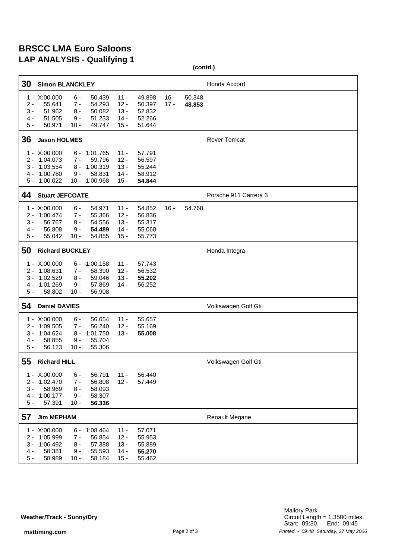#### **BRSCC LMA Euro Saloons LAP ANALYSIS - Qualifying 1**

|                                                               |                                                            |                                            |                                                      |                                                |                                                |                  | (contd.)         |                       |
|---------------------------------------------------------------|------------------------------------------------------------|--------------------------------------------|------------------------------------------------------|------------------------------------------------|------------------------------------------------|------------------|------------------|-----------------------|
| 30                                                            | <b>Simon BLANCKLEY</b>                                     |                                            |                                                      |                                                |                                                |                  |                  | Honda Accord          |
| 1<br>$\overline{\phantom{a}}$<br>$2 -$<br>3 -<br>4 -<br>$5 -$ | X:00.000<br>55.641<br>51.962<br>51.505<br>50.971           | $6 -$<br>7 -<br>$8 -$<br>9 -<br>$10 -$     | 50.439<br>54.293<br>50.082<br>51.233<br>49.747       | $11 -$<br>$12 -$<br>$13 -$<br>$14 -$<br>$15 -$ | 49.898<br>50.397<br>52.832<br>52.266<br>51.644 | $16 -$<br>$17 -$ | 50.348<br>48.853 |                       |
| 36                                                            | <b>Jason HOLMES</b>                                        |                                            |                                                      |                                                |                                                |                  |                  | <b>Rover Tomcat</b>   |
| 1 -<br>2 -<br>3 -<br>4 -<br>$5 -$                             | X:00.000<br>1:04.073<br>1:03.554<br>1:00.780<br>1:00.022   | 6 -<br>7 -<br>8 -<br>9 -<br>$10 -$         | 1:01.765<br>59.796<br>1:00.319<br>58.831<br>1:00.968 | $11 -$<br>$12 -$<br>$13 -$<br>$14 -$<br>$15 -$ | 57.791<br>56.597<br>55.244<br>58.912<br>54.844 |                  |                  |                       |
| 44                                                            | <b>Stuart JEFCOATE</b>                                     |                                            |                                                      |                                                |                                                |                  |                  | Porsche 911 Carrera 3 |
| 1 -<br>2 -<br>3 -<br>4 -<br>$5 -$                             | X:00.000<br>1:00.474<br>56.767<br>56.808<br>55.042         | $6 -$<br>$7 -$<br>$8 -$<br>$9 -$<br>$10 -$ | 54.971<br>55.366<br>54.556<br>54.489<br>54.855       | $11 -$<br>$12 -$<br>$13 -$<br>$14 -$<br>$15 -$ | 54.852<br>56.836<br>55.317<br>55.060<br>55.773 | 16 -             | 54.768           |                       |
| 50                                                            | <b>Richard BUCKLEY</b>                                     |                                            |                                                      |                                                |                                                |                  |                  | Honda Integra         |
| 1 -<br>2 -<br>3 -<br>4 -<br>$5 -$                             | X:00.000<br>1:08.631<br>1:02.529<br>1:01.269<br>58.802     | 6 -<br>$7 -$<br>8 -<br>$9 -$<br>$10 -$     | 1:00.158<br>58.390<br>59.046<br>57.869<br>56.908     | $11 -$<br>$12 -$<br>$13 -$<br>$14 -$           | 57.743<br>56.532<br>55.202<br>56.252           |                  |                  |                       |
| 54                                                            | <b>Daniel DAVIES</b>                                       |                                            |                                                      |                                                |                                                |                  |                  | Volkswagen Golf Gti   |
| 2 -<br>3 -<br>4 -<br>$5 -$                                    | $1 - X:00.000$<br>1:09.505<br>1:04.624<br>58.855<br>56.123 | 6 -<br>$7 -$<br>8 -<br>9 -<br>$10 -$       | 56.654<br>56.240<br>1:01.750<br>55.704<br>55.306     | $11 -$<br>$12 -$<br>$13 -$                     | 55.657<br>55.169<br>55.008                     |                  |                  |                       |
| 55                                                            | <b>Richard HILL</b>                                        |                                            |                                                      |                                                |                                                |                  |                  | Volkswagen Golf Gti   |
| $2 -$<br>$3 -$<br>$4 -$<br>$5 -$                              | 1 - X:00.000<br>1:02.470<br>58.969<br>1:00.177<br>57.391   | $6 -$<br>$7 -$<br>$8 -$<br>$9 -$<br>$10 -$ | 56.791<br>56.808<br>58.093<br>58.307<br>56.336       | $11 -$<br>$12 -$                               | 56.440<br>57.449                               |                  |                  |                       |
| 57                                                            | <b>Jim MEPHAM</b>                                          |                                            |                                                      |                                                |                                                |                  |                  | <b>Renault Megane</b> |
| $2 -$<br>$3 -$<br>$4 -$<br>$5 -$                              | 1 - X:00.000<br>1:05.999<br>1:06.492<br>58.381<br>58.989   | $6 -$<br>$7 -$<br>$8 -$<br>$9 -$<br>$10 -$ | 1:08.464<br>56.854<br>57.388<br>55.593<br>58.184     | $11 -$<br>$12 -$<br>$13 -$<br>$14 -$<br>$15 -$ | 57.071<br>55.953<br>55.889<br>55.270<br>55.462 |                  |                  |                       |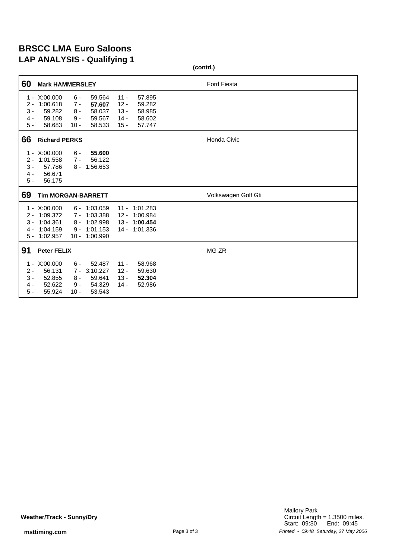#### **BRSCC LMA Euro Saloons LAP ANALYSIS - Qualifying 1**

|                                                                 |                                                                |                                            | , каминунгу к                                                             |                                                |                                                        | (contd.)            |
|-----------------------------------------------------------------|----------------------------------------------------------------|--------------------------------------------|---------------------------------------------------------------------------|------------------------------------------------|--------------------------------------------------------|---------------------|
| 60                                                              | <b>Mark HAMMERSLEY</b>                                         |                                            |                                                                           |                                                |                                                        | <b>Ford Fiesta</b>  |
| 1<br>$\overline{\phantom{a}}$<br>$2 -$<br>$3 -$<br>4 -<br>$5 -$ | X:00.000<br>1:00.618<br>59.282<br>59.108<br>58.683             | $6 -$<br>$7 -$<br>$8 -$<br>$9 -$<br>$10 -$ | 59.564<br>57.607<br>58.037<br>59.567<br>58.533                            | $11 -$<br>$12 -$<br>$13 -$<br>$14 -$<br>$15 -$ | 57.895<br>59.282<br>58.985<br>58.602<br>57.747         |                     |
| 66                                                              | <b>Richard PERKS</b>                                           |                                            |                                                                           |                                                |                                                        | Honda Civic         |
| $1 -$<br>$2 -$<br>$3 -$<br>4 -<br>$5 -$                         | X:00.000<br>1:01.558<br>57.786<br>56.671<br>56.175             | $6 -$<br>$7 -$<br>8 -                      | 55.600<br>56.122<br>1:56.653                                              |                                                |                                                        |                     |
| 69                                                              | <b>Tim MORGAN-BARRETT</b>                                      |                                            |                                                                           |                                                |                                                        | Volkswagen Golf Gti |
| $2 -$<br>3 -<br>4 -                                             | X:00.000<br>1:09.372<br>1:04.361<br>1:04.159<br>$5 - 1:02.957$ | $7 -$<br>8 -                               | $6 - 1:03.059$<br>1:03.388<br>1:02.998<br>$9 - 1:01.153$<br>10 - 1:00.990 | $11 -$<br>$12 -$                               | 1:01.283<br>1:00.984<br>13 - 1:00.454<br>14 - 1:01.336 |                     |
| 91                                                              | <b>Peter FELIX</b>                                             |                                            |                                                                           |                                                |                                                        | MG ZR               |
| $1 -$<br>$2 -$<br>$3 -$<br>4 -<br>$5 -$                         | X:00.000<br>56.131<br>52.855<br>52.622<br>55.924               | $6 -$<br>$7 -$<br>$8 -$<br>$9 -$<br>$10 -$ | 52.487<br>3:10.227<br>59.641<br>54.329<br>53.543                          | $11 -$<br>$12 -$<br>$13 -$<br>$14 -$           | 58.968<br>59.630<br>52.304<br>52.986                   |                     |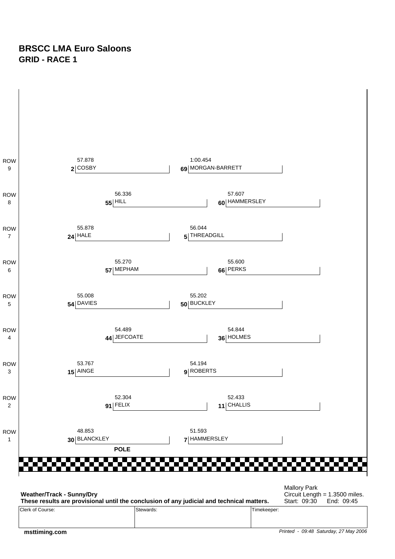#### **BRSCC LMA Euro Saloons GRID - RACE 1**



Clerk of Course: Stewards: Stewards: Stewards: Timekeeper:

 **msttiming.com**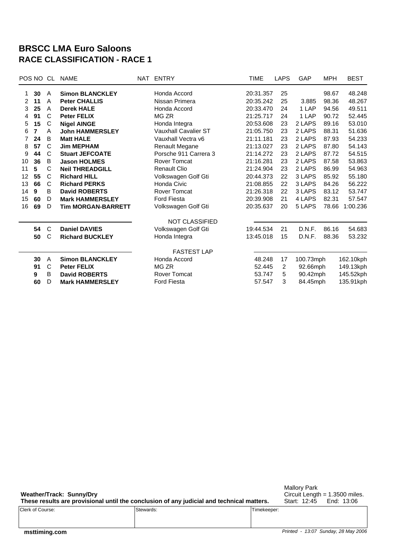#### **BRSCC LMA Euro Saloons RACE CLASSIFICATION - RACE 1**

|    | POS NO | CL<br><b>NAME</b> |                           | NAT | <b>ENTRY</b>                | <b>TIME</b> | LAPS                    | GAP       | <b>MPH</b> | <b>BEST</b> |
|----|--------|-------------------|---------------------------|-----|-----------------------------|-------------|-------------------------|-----------|------------|-------------|
| 1. | 30     | A                 | <b>Simon BLANCKLEY</b>    |     | Honda Accord                | 20:31.357   | 25                      |           | 98.67      | 48.248      |
| 2  | 11     | A                 | <b>Peter CHALLIS</b>      |     | Nissan Primera              | 20:35.242   | 25                      | 3.885     | 98.36      | 48.267      |
| 3  | 25     | A                 | <b>Derek HALE</b>         |     | Honda Accord                | 20:33.470   | 24                      | 1 LAP     | 94.56      | 49.511      |
| 4  | 91     | C                 | <b>Peter FELIX</b>        |     | MG ZR                       | 21:25.717   | 24                      | 1 LAP     | 90.72      | 52.445      |
| 5  | 15     | C                 | <b>Nigel AINGE</b>        |     | Honda Integra               | 20:53.608   | 23                      | 2 LAPS    | 89.16      | 53.010      |
| 6  | 7      | A                 | <b>John HAMMERSLEY</b>    |     | <b>Vauxhall Cavalier ST</b> | 21:05.750   | 23                      | 2 LAPS    | 88.31      | 51.636      |
| 7  | 24     | B                 | <b>Matt HALE</b>          |     | Vauxhall Vectra v6          | 21:11.181   | 23                      | 2 LAPS    | 87.93      | 54.233      |
| 8  | 57     | C                 | <b>Jim MEPHAM</b>         |     | <b>Renault Megane</b>       | 21:13.027   | 23                      | 2 LAPS    | 87.80      | 54.143      |
| 9  | 44     | C                 | <b>Stuart JEFCOATE</b>    |     | Porsche 911 Carrera 3       | 21:14.272   | 23                      | 2 LAPS    | 87.72      | 54.515      |
| 10 | 36     | B                 | <b>Jason HOLMES</b>       |     | Rover Tomcat                | 21:16.281   | 23                      | 2 LAPS    | 87.58      | 53.863      |
| 11 | 5      | C                 | <b>Neil THREADGILL</b>    |     | <b>Renault Clio</b>         | 21:24.904   | 23                      | 2 LAPS    | 86.99      | 54.963      |
| 12 | 55     | C                 | <b>Richard HILL</b>       |     | Volkswagen Golf Gti         | 20:44.373   | 22                      | 3 LAPS    | 85.92      | 55.180      |
| 13 | 66     | C                 | <b>Richard PERKS</b>      |     | Honda Civic                 | 21:08.855   | 22                      | 3 LAPS    | 84.26      | 56.222      |
| 14 | 9      | B                 | <b>David ROBERTS</b>      |     | <b>Rover Tomcat</b>         | 21:26.318   | 22                      | 3 LAPS    | 83.12      | 53.747      |
| 15 | 60     | D                 | <b>Mark HAMMERSLEY</b>    |     | <b>Ford Fiesta</b>          | 20:39.908   | 21                      | 4 LAPS    | 82.31      | 57.547      |
| 16 | 69     | D                 | <b>Tim MORGAN-BARRETT</b> |     | Volkswagen Golf Gti         | 20:35.637   | 20                      | 5 LAPS    | 78.66      | 1:00.236    |
|    |        |                   |                           |     | <b>NOT CLASSIFIED</b>       |             |                         |           |            |             |
|    | 54     | C                 | <b>Daniel DAVIES</b>      |     | Volkswagen Golf Gti         | 19:44.534   | 21                      | D.N.F.    | 86.16      | 54.683      |
|    | 50     | C                 | <b>Richard BUCKLEY</b>    |     | Honda Integra               | 13:45.018   | 15                      | D.N.F.    | 88.36      | 53.232      |
|    |        |                   |                           |     | <b>FASTEST LAP</b>          |             |                         |           |            |             |
|    | 30     | A                 | <b>Simon BLANCKLEY</b>    |     | Honda Accord                | 48.248      | 17                      | 100.73mph |            | 162.10kph   |
|    | 91     | C                 | <b>Peter FELIX</b>        |     | MG ZR                       |             | 52.445<br>2<br>92.66mph |           |            | 149.13kph   |
|    | 9      | В                 | <b>David ROBERTS</b>      |     | <b>Rover Tomcat</b>         | 53.747      | 5                       | 90.42mph  | 145.52kph  |             |
|    | 60     | D                 | <b>Mark HAMMERSLEY</b>    |     | <b>Ford Fiesta</b>          | 57.547      | 3                       | 84.45mph  |            | 135.91kph   |

**Weather/Track: Sunny/Dry These results are provisional until the conclusion of any judicial and technical matters.** Mallory Park Circuit Length = 1.3500 miles. Start: 12:45 End: 13:06

|                  | . .            |                  |
|------------------|----------------|------------------|
| Clerk of Course: | Stewards:<br>. | Timekeeper:<br>. |
|                  |                |                  |
|                  |                |                  |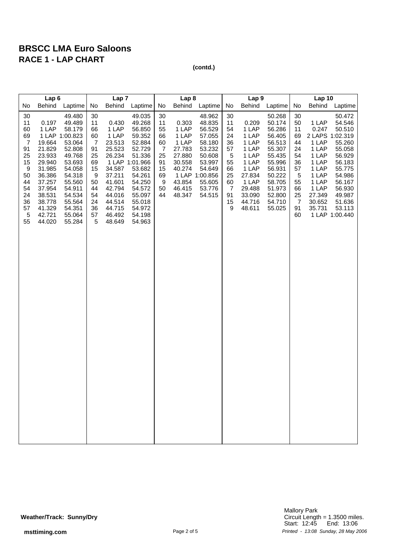|                                                                                                                             | Lap <sub>6</sub>                                                                                                                                 |                                                                                                                                                                                |                                                                                                              | Lap <sub>7</sub>                                                                                                                                |                                                                                                                                                                                |                                                                                       | Lap <sub>8</sub>                                                                                       |                                                                                                                                        |                                                                                                  | Lap <sub>9</sub>                                                                                                                |                                                                                                                                                    |                                                                                            | <b>Lap 10</b>                                                                                                                           |                                                                                                                                                            |
|-----------------------------------------------------------------------------------------------------------------------------|--------------------------------------------------------------------------------------------------------------------------------------------------|--------------------------------------------------------------------------------------------------------------------------------------------------------------------------------|--------------------------------------------------------------------------------------------------------------|-------------------------------------------------------------------------------------------------------------------------------------------------|--------------------------------------------------------------------------------------------------------------------------------------------------------------------------------|---------------------------------------------------------------------------------------|--------------------------------------------------------------------------------------------------------|----------------------------------------------------------------------------------------------------------------------------------------|--------------------------------------------------------------------------------------------------|---------------------------------------------------------------------------------------------------------------------------------|----------------------------------------------------------------------------------------------------------------------------------------------------|--------------------------------------------------------------------------------------------|-----------------------------------------------------------------------------------------------------------------------------------------|------------------------------------------------------------------------------------------------------------------------------------------------------------|
| No                                                                                                                          | Behind                                                                                                                                           | Laptime                                                                                                                                                                        | No                                                                                                           | <b>Behind</b>                                                                                                                                   | Laptime                                                                                                                                                                        | No                                                                                    | <b>Behind</b>                                                                                          | Laptime                                                                                                                                | No                                                                                               | <b>Behind</b>                                                                                                                   | Laptime                                                                                                                                            | No                                                                                         | <b>Behind</b>                                                                                                                           | Laptime                                                                                                                                                    |
| 30<br>11<br>60<br>69<br>$\overline{7}$<br>91<br>25<br>15<br>$\boldsymbol{9}$<br>50<br>44<br>54<br>24<br>36<br>57<br>5<br>55 | 0.197<br>1 LAP<br>19.664<br>21.829<br>23.933<br>29.940<br>31.985<br>36.386<br>37.257<br>37.954<br>38.531<br>38.778<br>41.329<br>42.721<br>44.020 | 49.480<br>49.489<br>58.179<br>1 LAP 1:00.823<br>53.064<br>52.808<br>49.768<br>53.693<br>54.058<br>54.318<br>55.560<br>54.911<br>54.534<br>55.564<br>54.351<br>55.064<br>55.284 | 30<br>11<br>66<br>60<br>$\overline{7}$<br>91<br>25<br>69<br>15<br>9<br>50<br>44<br>54<br>24<br>36<br>57<br>5 | 0.430<br>1 LAP<br>1 LAP<br>23.513<br>25.523<br>26.234<br>34.587<br>37.211<br>41.601<br>42.794<br>44.016<br>44.514<br>44.715<br>46.492<br>48.649 | 49.035<br>49.268<br>56.850<br>59.352<br>52.884<br>52.729<br>51.336<br>1 LAP 1:01.966<br>53.682<br>54.261<br>54.250<br>54.572<br>55.097<br>55.018<br>54.972<br>54.198<br>54.963 | 30<br>11<br>55<br>66<br>60<br>$\overline{7}$<br>25<br>91<br>15<br>69<br>9<br>50<br>44 | 0.303<br>1 LAP<br>1 LAP<br>1 LAP<br>27.783<br>27.880<br>30.558<br>40.274<br>43.854<br>46.415<br>48.347 | 48.962<br>48.835<br>56.529<br>57.055<br>58.180<br>53.232<br>50.608<br>53.997<br>54.649<br>1 LAP 1:00.856<br>55.605<br>53.776<br>54.515 | 30<br>11<br>54<br>24<br>36<br>57<br>5<br>55<br>66<br>25<br>60<br>$\overline{7}$<br>91<br>15<br>9 | 0.209<br>1 LAP<br>1 LAP<br>1 LAP<br>1 LAP<br>1 LAP<br>1 LAP<br>1 LAP<br>27.834<br>1 LAP<br>29.488<br>33.090<br>44.716<br>48.611 | 50.268<br>50.174<br>56.286<br>56.405<br>56.513<br>55.307<br>55.435<br>55.996<br>56.931<br>50.222<br>58.705<br>51.973<br>52.800<br>54.710<br>55.025 | 30<br>50<br>11<br>69<br>44<br>24<br>54<br>36<br>57<br>5<br>55<br>66<br>25<br>7<br>91<br>60 | 1 LAP<br>0.247<br>2 LAPS 1:02.319<br>1 LAP<br>1 LAP<br>1 LAP<br>1 LAP<br>1 LAP<br>1 LAP<br>1 LAP<br>1 LAP<br>27.349<br>30.652<br>35.731 | 50.472<br>54.546<br>50.510<br>55.260<br>55.058<br>56.929<br>56.183<br>55.775<br>54.986<br>56.167<br>56.930<br>49.987<br>51.636<br>53.113<br>1 LAP 1:00.440 |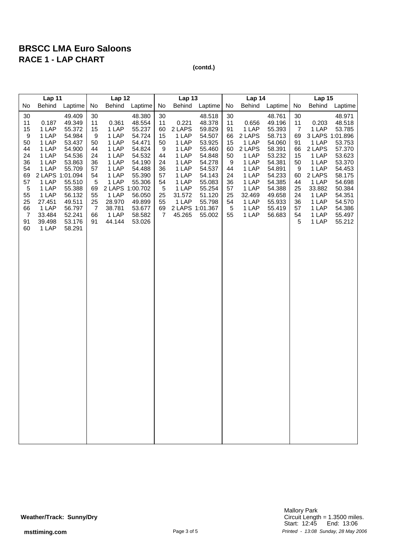|                                                                                                                    | Lap 11                                                                                                                                                             |                                                                                                                                                                        |                                                                                                              | Lap 12                                                                                                                                                    |                                                                                                                                                              |                                                                                                        | Lap 13                                                                                                                                           |                                                                                                                                                    |                                                                                            | Lap 14                                                                                                                                 |                                                                                                                                                              |                                                                                                              | <b>Lap 15</b>                                                                                                                                             |                                                                                                                                                              |
|--------------------------------------------------------------------------------------------------------------------|--------------------------------------------------------------------------------------------------------------------------------------------------------------------|------------------------------------------------------------------------------------------------------------------------------------------------------------------------|--------------------------------------------------------------------------------------------------------------|-----------------------------------------------------------------------------------------------------------------------------------------------------------|--------------------------------------------------------------------------------------------------------------------------------------------------------------|--------------------------------------------------------------------------------------------------------|--------------------------------------------------------------------------------------------------------------------------------------------------|----------------------------------------------------------------------------------------------------------------------------------------------------|--------------------------------------------------------------------------------------------|----------------------------------------------------------------------------------------------------------------------------------------|--------------------------------------------------------------------------------------------------------------------------------------------------------------|--------------------------------------------------------------------------------------------------------------|-----------------------------------------------------------------------------------------------------------------------------------------------------------|--------------------------------------------------------------------------------------------------------------------------------------------------------------|
| No                                                                                                                 | <b>Behind</b>                                                                                                                                                      | Laptime                                                                                                                                                                | No                                                                                                           | <b>Behind</b>                                                                                                                                             | Laptime                                                                                                                                                      | No                                                                                                     | <b>Behind</b>                                                                                                                                    | Laptime                                                                                                                                            | No                                                                                         | <b>Behind</b>                                                                                                                          | Laptime                                                                                                                                                      | No                                                                                                           | <b>Behind</b>                                                                                                                                             | Laptime                                                                                                                                                      |
| 30<br>11<br>15<br>9<br>50<br>44<br>24<br>36<br>54<br>69<br>57<br>5<br>55<br>25<br>66<br>$\overline{7}$<br>91<br>60 | 0.187<br>1 LAP<br>1 LAP<br>1 LAP<br>1 LAP<br>1 LAP<br>1 LAP<br>1 LAP<br>2 LAPS 1:01.094<br>1 LAP<br>1 LAP<br>1 LAP<br>27.451<br>1 LAP<br>33.484<br>39.498<br>1 LAP | 49.409<br>49.349<br>55.372<br>54.984<br>53.437<br>54.900<br>54.536<br>53.863<br>55.709<br>55.510<br>55.388<br>56.132<br>49.511<br>56.797<br>52.241<br>53.176<br>58.291 | 30<br>11<br>15<br>9<br>50<br>44<br>24<br>36<br>57<br>54<br>5<br>69<br>55<br>25<br>$\overline{7}$<br>66<br>91 | 0.361<br>1 LAP<br>1 LAP<br>1 LAP<br>1 LAP<br>1 LAP<br>1 LAP<br>1 LAP<br>1 LAP<br>1 LAP<br>2 LAPS 1:00.702<br>1 LAP<br>28.970<br>38.781<br>1 LAP<br>44.144 | 48.380<br>48.554<br>55.237<br>54.724<br>54.471<br>54.824<br>54.532<br>54.190<br>54.488<br>55.390<br>55.306<br>56.050<br>49.899<br>53.677<br>58.582<br>53.026 | 30<br>11<br>60<br>15<br>50<br>9<br>44<br>24<br>36<br>57<br>54<br>$\overline{5}$<br>25<br>55<br>69<br>7 | 0.221<br>2 LAPS<br>1 LAP<br>1 LAP<br>1 LAP<br>1 LAP<br>1 LAP<br>1 LAP<br>1 LAP<br>1 LAP<br>1 LAP<br>31.572<br>1 LAP<br>2 LAPS 1:01.367<br>45.265 | 48.518<br>48.378<br>59.829<br>54.507<br>53.925<br>55.460<br>54.848<br>54.278<br>54.537<br>54.143<br>55.083<br>55.254<br>51.120<br>55.798<br>55.002 | 30<br>11<br>91<br>66<br>15<br>60<br>50<br>9<br>44<br>24<br>36<br>57<br>25<br>54<br>5<br>55 | 0.656<br>1 LAP<br>2 LAPS<br>1 LAP<br>2 LAPS<br>1 LAP<br>1 LAP<br>1 LAP<br>1 LAP<br>1 LAP<br>1 LAP<br>32.469<br>1 LAP<br>1 LAP<br>1 LAP | 48.761<br>49.196<br>55.393<br>58.713<br>54.060<br>58.391<br>53.232<br>54.381<br>54.891<br>54.233<br>54.385<br>54.388<br>49.658<br>55.933<br>55.419<br>56.683 | 30<br>11<br>$\overline{7}$<br>69<br>91<br>66<br>15<br>50<br>9<br>60<br>44<br>25<br>24<br>36<br>57<br>54<br>5 | 0.203<br>1 LAP<br>3 LAPS 1:01.896<br>1 LAP<br>2 LAPS<br>1 LAP<br>1 LAP<br>1 LAP<br>2 LAPS<br>1 LAP<br>33.882<br>1 LAP<br>1 LAP<br>1 LAP<br>1 LAP<br>1 LAP | 48.971<br>48.518<br>53.785<br>53.753<br>57.370<br>53.623<br>53.370<br>54.453<br>58.175<br>54.698<br>50.384<br>54.351<br>54.570<br>54.386<br>55.497<br>55.212 |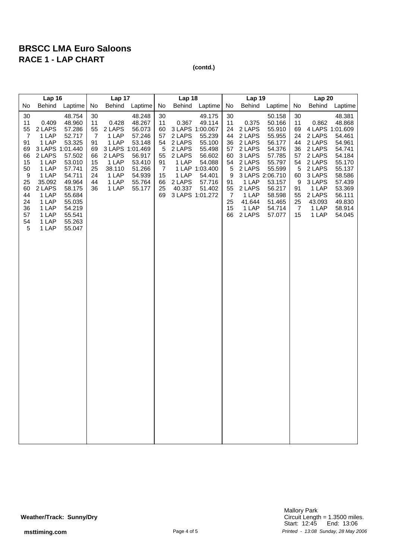|                                                                                                                    | Lap 16                                                                                                                                                              |                                                                                                                                                                        |                                                                                  | Lap 17                                                                                                       |                                                                                                            |                                                                                                | Lap 18                                                                              |                                                                                                                                                          |                                                                                                        | Lap 19                                                                                                                               |                                                                                                                                                                       |                                                                                                        | Lap 20                                                                                                                                                  |                                                                                                                                                    |
|--------------------------------------------------------------------------------------------------------------------|---------------------------------------------------------------------------------------------------------------------------------------------------------------------|------------------------------------------------------------------------------------------------------------------------------------------------------------------------|----------------------------------------------------------------------------------|--------------------------------------------------------------------------------------------------------------|------------------------------------------------------------------------------------------------------------|------------------------------------------------------------------------------------------------|-------------------------------------------------------------------------------------|----------------------------------------------------------------------------------------------------------------------------------------------------------|--------------------------------------------------------------------------------------------------------|--------------------------------------------------------------------------------------------------------------------------------------|-----------------------------------------------------------------------------------------------------------------------------------------------------------------------|--------------------------------------------------------------------------------------------------------|---------------------------------------------------------------------------------------------------------------------------------------------------------|----------------------------------------------------------------------------------------------------------------------------------------------------|
| No                                                                                                                 | Behind                                                                                                                                                              | Laptime                                                                                                                                                                | No                                                                               | <b>Behind</b>                                                                                                | Laptime                                                                                                    | No                                                                                             | Behind                                                                              | Laptime                                                                                                                                                  | No                                                                                                     | Behind                                                                                                                               | Laptime                                                                                                                                                               | No                                                                                                     | <b>Behind</b>                                                                                                                                           | Laptime                                                                                                                                            |
| 30<br>11<br>55<br>$\overline{7}$<br>91<br>69<br>66<br>15<br>50<br>9<br>25<br>60<br>44<br>24<br>36<br>57<br>54<br>5 | 0.409<br>2 LAPS<br>1 LAP<br>1 LAP<br>3 LAPS 1:01.440<br>2 LAPS<br>1 LAP<br>1 LAP<br>1 LAP<br>35.092<br>2 LAPS<br>1 LAP<br>1 LAP<br>1 LAP<br>1 LAP<br>1 LAP<br>1 LAP | 48.754<br>48.960<br>57.286<br>52.717<br>53.325<br>57.502<br>53.010<br>57.741<br>54.711<br>49.964<br>58.175<br>55.684<br>55.035<br>54.219<br>55.541<br>55.263<br>55.047 | 30<br>11<br>55<br>$\overline{7}$<br>91<br>69<br>66<br>15<br>25<br>24<br>44<br>36 | 0.428<br>2 LAPS<br>1 LAP<br>1 LAP<br>3 LAPS 1:01.469<br>2 LAPS<br>1 LAP<br>38.110<br>1 LAP<br>1 LAP<br>1 LAP | 48.248<br>48.267<br>56.073<br>57.246<br>53.148<br>56.917<br>53.410<br>51.266<br>54.939<br>55.764<br>55.177 | 30<br>11<br>60<br>57<br>54<br>$\sqrt{5}$<br>55<br>91<br>$\overline{7}$<br>15<br>66<br>25<br>69 | 0.367<br>2 LAPS<br>2 LAPS<br>2 LAPS<br>2 LAPS<br>1 LAP<br>1 LAP<br>2 LAPS<br>40.337 | 49.175<br>49.114<br>3 LAPS 1:00.067<br>55.239<br>55.100<br>55.498<br>56.602<br>54.088<br>1 LAP 1:03.400<br>54.401<br>57.716<br>51.402<br>3 LAPS 1:01.272 | 30<br>11<br>24<br>44<br>36<br>57<br>60<br>54<br>5<br>9<br>91<br>55<br>$\overline{7}$<br>25<br>15<br>66 | 0.375<br>2 LAPS<br>2 LAPS<br>2 LAPS<br>2 LAPS<br>3 LAPS<br>2 LAPS<br>2 LAPS<br>1 LAP<br>2 LAPS<br>1 LAP<br>41.644<br>1 LAP<br>2 LAPS | 50.158<br>50.166<br>55.910<br>55.955<br>56.177<br>54.376<br>57.785<br>55.797<br>55.599<br>3 LAPS 2:06.710<br>53.157<br>56.217<br>58.598<br>51.465<br>54.714<br>57.077 | 30<br>11<br>69<br>24<br>44<br>36<br>57<br>54<br>5<br>60<br>9<br>91<br>55<br>25<br>$\overline{7}$<br>15 | 0.862<br>4 LAPS 1:01.609<br>2 LAPS<br>2 LAPS<br>2 LAPS<br>2 LAPS<br>2 LAPS<br>2 LAPS<br>3 LAPS<br>3 LAPS<br>1 LAP<br>2 LAPS<br>43.093<br>1 LAP<br>1 LAP | 48.381<br>48.868<br>54.461<br>54.961<br>54.741<br>54.184<br>55.170<br>55.137<br>58.586<br>57.439<br>53.369<br>56.111<br>49.830<br>58.914<br>54.045 |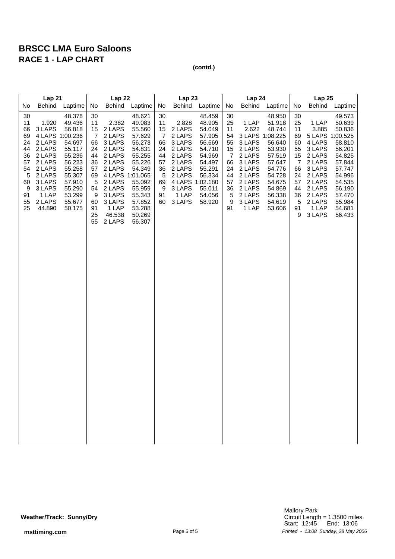|                                                                                          | Lap21                                                                                                                                           |                                                                                                                                          |                                                                                                              | Lap 22                                                                                                                                                              |                                                                                                                                                              |                                                                                            | Lap <sub>23</sub>                                                                                                                     |                                                                                                                                |                                                                                                  | Lap 24                                                                                                                                         |                                                                                                                                          |                                                                                           | Lap 25                                                                                                                                                   |                                                                                                                                                    |
|------------------------------------------------------------------------------------------|-------------------------------------------------------------------------------------------------------------------------------------------------|------------------------------------------------------------------------------------------------------------------------------------------|--------------------------------------------------------------------------------------------------------------|---------------------------------------------------------------------------------------------------------------------------------------------------------------------|--------------------------------------------------------------------------------------------------------------------------------------------------------------|--------------------------------------------------------------------------------------------|---------------------------------------------------------------------------------------------------------------------------------------|--------------------------------------------------------------------------------------------------------------------------------|--------------------------------------------------------------------------------------------------|------------------------------------------------------------------------------------------------------------------------------------------------|------------------------------------------------------------------------------------------------------------------------------------------|-------------------------------------------------------------------------------------------|----------------------------------------------------------------------------------------------------------------------------------------------------------|----------------------------------------------------------------------------------------------------------------------------------------------------|
| No                                                                                       | Behind                                                                                                                                          | Laptime                                                                                                                                  | No                                                                                                           | <b>Behind</b>                                                                                                                                                       | Laptime                                                                                                                                                      | No                                                                                         | Behind                                                                                                                                | Laptime                                                                                                                        | No                                                                                               | Behind                                                                                                                                         | Laptime                                                                                                                                  | No                                                                                        | Behind                                                                                                                                                   | Laptime                                                                                                                                            |
| $30\,$<br>11<br>66<br>69<br>24<br>44<br>36<br>57<br>54<br>5<br>60<br>9<br>91<br>55<br>25 | 1.920<br>3 LAPS<br>4 LAPS 1:00.236<br>2 LAPS<br>2 LAPS<br>2 LAPS<br>2 LAPS<br>2 LAPS<br>2 LAPS<br>3 LAPS<br>3 LAPS<br>1 LAP<br>2 LAPS<br>44.890 | 48.378<br>49.436<br>56.818<br>54.697<br>55.117<br>55.236<br>56.223<br>55.258<br>55.307<br>57.910<br>55.290<br>53.299<br>55.677<br>50.175 | 30<br>11<br>15<br>$\overline{7}$<br>66<br>24<br>44<br>36<br>57<br>69<br>5<br>54<br>9<br>60<br>91<br>25<br>55 | 2.382<br>2 LAPS<br>2 LAPS<br>3 LAPS<br>2 LAPS<br>2 LAPS<br>2 LAPS<br>2 LAPS<br>4 LAPS 1:01.065<br>2 LAPS<br>2 LAPS<br>3 LAPS<br>3 LAPS<br>1 LAP<br>46.538<br>2 LAPS | 48.621<br>49.083<br>55.560<br>57.629<br>56.273<br>54.831<br>55.255<br>55.226<br>54.349<br>55.092<br>55.959<br>55.343<br>57.852<br>53.288<br>50.269<br>56.307 | 30<br>11<br>15<br>$\overline{7}$<br>66<br>24<br>44<br>57<br>36<br>5<br>69<br>9<br>91<br>60 | 2.828<br>2 LAPS<br>2 LAPS<br>3 LAPS<br>2 LAPS<br>2 LAPS<br>2 LAPS<br>2 LAPS<br>2 LAPS<br>4 LAPS 1:02.180<br>3 LAPS<br>1 LAP<br>3 LAPS | 48.459<br>48.905<br>54.049<br>57.905<br>56.669<br>54.710<br>54.969<br>54.497<br>55.291<br>56.334<br>55.011<br>54.056<br>58.920 | 30<br>25<br>11<br>54<br>55<br>15<br>$\overline{7}$<br>66<br>24<br>44<br>57<br>36<br>5<br>9<br>91 | 1 LAP<br>2.622<br>3 LAPS 1:08.225<br>3 LAPS<br>2 LAPS<br>2 LAPS<br>3 LAPS<br>2 LAPS<br>2 LAPS<br>2 LAPS<br>2 LAPS<br>2 LAPS<br>3 LAPS<br>1 LAP | 48.950<br>51.918<br>48.744<br>56.640<br>53.930<br>57.519<br>57.647<br>54.776<br>54.728<br>54.675<br>54.869<br>56.338<br>54.619<br>53.606 | 30<br>25<br>11<br>69<br>60<br>55<br>15<br>7<br>66<br>24<br>57<br>44<br>36<br>5<br>91<br>9 | 1 LAP<br>3.885<br>5 LAPS 1:00.525<br>4 LAPS<br>3 LAPS<br>2 LAPS<br>2 LAPS<br>3 LAPS<br>2 LAPS<br>2 LAPS<br>2 LAPS<br>2 LAPS<br>2 LAPS<br>1 LAP<br>3 LAPS | 49.573<br>50.639<br>50.836<br>58.810<br>56.201<br>54.825<br>57.844<br>57.747<br>54.996<br>54.535<br>56.190<br>57.470<br>55.984<br>54.681<br>56.433 |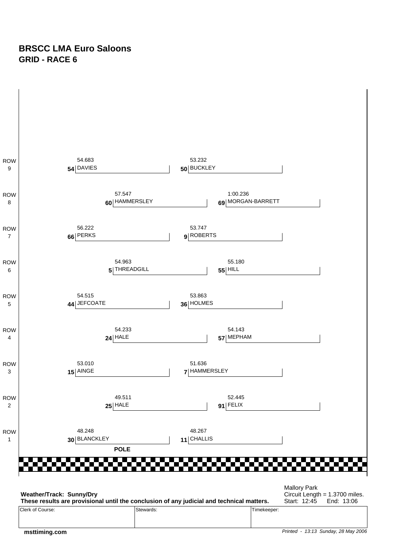#### **BRSCC LMA Euro Saloons GRID - RACE 6**

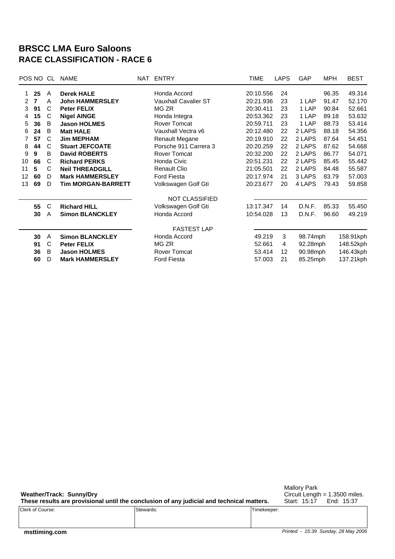#### **BRSCC LMA Euro Saloons RACE CLASSIFICATION - RACE 6**

| POS NO CL      |                |   | NAME                      | NAT ENTRY                   | <b>TIME</b> | <b>LAPS</b> | GAP      | <b>MPH</b> | <b>BEST</b> |
|----------------|----------------|---|---------------------------|-----------------------------|-------------|-------------|----------|------------|-------------|
| 1.             | 25             | A | <b>Derek HALE</b>         | Honda Accord                | 20:10.556   | 24          |          | 96.35      | 49.314      |
| $\overline{2}$ | $\overline{7}$ | A | <b>John HAMMERSLEY</b>    | <b>Vauxhall Cavalier ST</b> | 20:21.936   | 23          | 1 LAP    | 91.47      | 52.170      |
| 3              | 91             | C | <b>Peter FELIX</b>        | MG ZR                       | 20:30.411   | 23          | 1 LAP    | 90.84      | 52.661      |
| 4              | 15             | C | <b>Nigel AINGE</b>        | Honda Integra               | 20:53.362   | 23          | 1 LAP    | 89.18      | 53.632      |
| 5              | 36             | B | <b>Jason HOLMES</b>       | <b>Rover Tomcat</b>         | 20:59.711   | 23          | 1 LAP    | 88.73      | 53.414      |
| 6              | 24             | B | <b>Matt HALE</b>          | Vauxhall Vectra v6          | 20:12.480   | 22          | 2 LAPS   | 88.18      | 54.356      |
| 7              | 57             | C | <b>Jim MEPHAM</b>         | <b>Renault Megane</b>       | 20:19.910   | 22          | 2 LAPS   | 87.64      | 54.451      |
| 8              | 44             | C | <b>Stuart JEFCOATE</b>    | Porsche 911 Carrera 3       | 20:20.259   | 22          | 2 LAPS   | 87.62      | 54.668      |
| 9              | 9              | B | <b>David ROBERTS</b>      | Rover Tomcat                | 20:32.200   | 22          | 2 LAPS   | 86.77      | 54.071      |
| 10             | 66             | C | <b>Richard PERKS</b>      | Honda Civic                 | 20:51.231   | 22          | 2 LAPS   | 85.45      | 55.442      |
| 11             | 5              | C | <b>Neil THREADGILL</b>    | <b>Renault Clio</b>         | 21:05.501   | 22          | 2 LAPS   | 84.48      | 55.587      |
| 12             | 60             | D | <b>Mark HAMMERSLEY</b>    | Ford Fiesta                 | 20:17.974   | 21          | 3 LAPS   | 83.79      | 57.003      |
| 13             | 69             | D | <b>Tim MORGAN-BARRETT</b> | Volkswagen Golf Gti         | 20:23.677   | 20          | 4 LAPS   | 79.43      | 59.858      |
|                |                |   |                           | <b>NOT CLASSIFIED</b>       |             |             |          |            |             |
|                | 55             | C | <b>Richard HILL</b>       | Volkswagen Golf Gti         | 13:17.347   | 14          | D.N.F.   | 85.33      | 55.450      |
|                | 30             | A | <b>Simon BLANCKLEY</b>    | Honda Accord                | 10:54.028   | 13          | D.N.F.   | 96.60      | 49.219      |
|                |                |   |                           | <b>FASTEST LAP</b>          |             |             |          |            |             |
|                | 30             | A | <b>Simon BLANCKLEY</b>    | Honda Accord                | 49.219      | 3           | 98.74mph |            | 158.91kph   |
|                | 91             | C | <b>Peter FELIX</b>        | MG ZR                       | 52.661      | 4           | 92.28mph |            | 148.52kph   |
|                | 36             | B | <b>Jason HOLMES</b>       | <b>Rover Tomcat</b>         | 53.414      | 12          | 90.98mph |            | 146.43kph   |
|                | 60             | D | <b>Mark HAMMERSLEY</b>    | Ford Fiesta                 | 57.003      | 21          | 85.25mph |            | 137.21kph   |

**Weather/Track: Sunny/Dry These results are provisional until the conclusion of any judicial and technical matters.**

Mallory Park Circuit Length = 1.3500 miles. Start: 15:17 End: 15:37

| Clerk of Course: | Stewards: | Timekeeper: |
|------------------|-----------|-------------|
|                  |           |             |
|                  |           |             |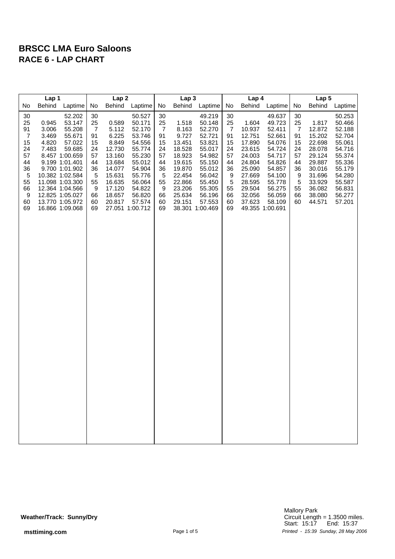| Lap <sub>2</sub><br>Lap <sub>3</sub><br>Lap 1<br>Lap 4                                                                                                                                                                                                                                                                                                                                                                                                                                                                                                                                                                                                                                                                                                                                                                                                                                                                                                                                                                                                                                                                                                                                                                                                                                                                                                                                                                                                                                                                                                                                                                                                                                                                                                                                                 | Lap <sub>5</sub>                                                                                                                         |  |  |
|--------------------------------------------------------------------------------------------------------------------------------------------------------------------------------------------------------------------------------------------------------------------------------------------------------------------------------------------------------------------------------------------------------------------------------------------------------------------------------------------------------------------------------------------------------------------------------------------------------------------------------------------------------------------------------------------------------------------------------------------------------------------------------------------------------------------------------------------------------------------------------------------------------------------------------------------------------------------------------------------------------------------------------------------------------------------------------------------------------------------------------------------------------------------------------------------------------------------------------------------------------------------------------------------------------------------------------------------------------------------------------------------------------------------------------------------------------------------------------------------------------------------------------------------------------------------------------------------------------------------------------------------------------------------------------------------------------------------------------------------------------------------------------------------------------|------------------------------------------------------------------------------------------------------------------------------------------|--|--|
| No<br>Behind<br>Laptime<br>No<br><b>Behind</b><br>Laptime<br>No<br><b>Behind</b><br>Laptime<br>No<br>Behind<br>Laptime<br>No<br><b>Behind</b>                                                                                                                                                                                                                                                                                                                                                                                                                                                                                                                                                                                                                                                                                                                                                                                                                                                                                                                                                                                                                                                                                                                                                                                                                                                                                                                                                                                                                                                                                                                                                                                                                                                          | Laptime                                                                                                                                  |  |  |
| 52.202<br>30<br>30<br>30<br>30<br>30<br>50.527<br>49.219<br>49.637<br>25<br>1.817<br>25<br>0.945<br>53.147<br>0.589<br>25<br>1.518<br>25<br>1.604<br>49.723<br>25<br>50.171<br>50.148<br>91<br>3.006<br>55.208<br>7<br>5.112<br>52.170<br>$\overline{7}$<br>8.163<br>52.270<br>7<br>10.937<br>52.411<br>$\overline{7}$<br>12.872<br>$\overline{7}$<br>91<br>3.469<br>55.671<br>91<br>6.225<br>53.746<br>91<br>9.727<br>52.721<br>91<br>12.751<br>52.661<br>15.202<br>15<br>4.820<br>15<br>8.849<br>15<br>13.451<br>15<br>15<br>22.698<br>57.022<br>54.556<br>53.821<br>17.890<br>54.076<br>7.483<br>59.685<br>12.730<br>18.528<br>23.615<br>24<br>28.078<br>24<br>24<br>55.774<br>24<br>55.017<br>24<br>54.724<br>57<br>57<br>18.923<br>8.457 1:00.659<br>57<br>13.160<br>55.230<br>54.982<br>57<br>24.003<br>54.717<br>57<br>29.124<br>44<br>9.199 1:01.401<br>44<br>13.684<br>55.012<br>19.615<br>24.804<br>29.887<br>44<br>55.150<br>44<br>54.826<br>44<br>36<br>9.700 1:01.902<br>36<br>14.077<br>54.904<br>19.870<br>55.012<br>25.090<br>54.857<br>30.016<br>36<br>36<br>36<br>5<br>15.631<br>55.776<br>$\sqrt{5}$<br>22.454<br>10.382 1:02.584<br>5<br>56.042<br>9<br>27.669<br>54.100<br>9<br>31.696<br>55<br>5<br>55<br>16.635<br>55<br>5<br>11.098 1:03.300<br>56.064<br>22.866<br>55.450<br>28.595<br>55.778<br>33.929<br>17.120<br>23.206<br>55<br>29.504<br>66<br>12.364 1:04.566<br>9<br>54.822<br>9<br>55.305<br>56.275<br>55<br>36.082<br>9<br>66<br>18.657<br>66<br>25.634<br>66<br>32.056<br>66<br>12.825 1:05.027<br>56.820<br>56.196<br>56.059<br>38.080<br>60<br>13.770 1:05.972<br>60<br>20.817<br>57.574<br>60<br>29.151<br>57.553<br>60<br>37.623<br>58.109<br>60<br>44.571<br>69<br>16.866 1:09.068<br>69<br>27.051 1:00.712<br>69<br>38.301 1:00.469<br>69<br>49.355 1:00.691 | 50.253<br>50.466<br>52.188<br>52.704<br>55.061<br>54.716<br>55.374<br>55.336<br>55.179<br>54.280<br>55.587<br>56.831<br>56.277<br>57.201 |  |  |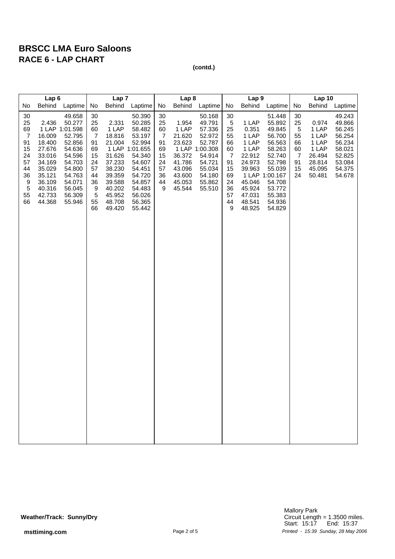| Lap <sub>6</sub>                                                                                    |                                                                                                                     | Lap <sub>7</sub>                                                                                                                                 |                                                                                                           |                                                                                                                                                | Lap <sub>8</sub>                                                                                                                         |                                                                                 |                                                                                                | Lap 9                                                                                                                        |                                                                                              |                                                                                                                           | <b>Lap 10</b>                                                                                                                                              |                                                                 |                                                                                   |                                                                                                  |
|-----------------------------------------------------------------------------------------------------|---------------------------------------------------------------------------------------------------------------------|--------------------------------------------------------------------------------------------------------------------------------------------------|-----------------------------------------------------------------------------------------------------------|------------------------------------------------------------------------------------------------------------------------------------------------|------------------------------------------------------------------------------------------------------------------------------------------|---------------------------------------------------------------------------------|------------------------------------------------------------------------------------------------|------------------------------------------------------------------------------------------------------------------------------|----------------------------------------------------------------------------------------------|---------------------------------------------------------------------------------------------------------------------------|------------------------------------------------------------------------------------------------------------------------------------------------------------|-----------------------------------------------------------------|-----------------------------------------------------------------------------------|--------------------------------------------------------------------------------------------------|
| No                                                                                                  | <b>Behind</b>                                                                                                       | Laptime                                                                                                                                          | No                                                                                                        | Behind                                                                                                                                         | Laptime                                                                                                                                  | No                                                                              | Behind                                                                                         | Laptime                                                                                                                      | No                                                                                           | Behind                                                                                                                    | Laptime                                                                                                                                                    | No                                                              | <b>Behind</b>                                                                     | Laptime                                                                                          |
| 30<br>25<br>69<br>$\overline{7}$<br>91<br>15<br>24<br>57<br>44<br>36<br>9<br>$\sqrt{5}$<br>55<br>66 | 2.436<br>16.009<br>18.400<br>27.676<br>33.016<br>34.169<br>35.029<br>35.121<br>36.109<br>40.316<br>42.733<br>44.368 | 49.658<br>50.277<br>1 LAP 1:01.598<br>52.795<br>52.856<br>54.636<br>54.596<br>54.703<br>54.800<br>54.763<br>54.071<br>56.045<br>56.309<br>55.946 | 30<br>25<br>60<br>$\overline{7}$<br>91<br>69<br>15<br>24<br>57<br>44<br>36<br>9<br>$\sqrt{5}$<br>55<br>66 | 2.331<br>1 LAP<br>18.816<br>21.004<br>1 LAP 1:01.655<br>31.626<br>37.233<br>38.230<br>39.359<br>39.588<br>40.202<br>45.952<br>48.708<br>49.420 | 50.390<br>50.285<br>58.482<br>53.197<br>52.994<br>54.340<br>54.607<br>54.451<br>54.720<br>54.857<br>54.483<br>56.026<br>56.365<br>55.442 | 30<br>25<br>60<br>$\overline{7}$<br>91<br>69<br>15<br>24<br>57<br>36<br>44<br>9 | 1.954<br>1 LAP<br>21.620<br>23.623<br>36.372<br>41.786<br>43.096<br>43.600<br>45.053<br>45.544 | 50.168<br>49.791<br>57.336<br>52.972<br>52.787<br>1 LAP 1:00.308<br>54.914<br>54.721<br>55.034<br>54.180<br>55.862<br>55.510 | 30<br>$\sqrt{5}$<br>25<br>55<br>66<br>60<br>7<br>91<br>15<br>69<br>24<br>36<br>57<br>44<br>9 | 1 LAP<br>0.351<br>1 LAP<br>1 LAP<br>1 LAP<br>22.912<br>24.973<br>39.963<br>45.046<br>45.924<br>47.031<br>48.541<br>48.925 | 51.448<br>55.892<br>49.845<br>56.700<br>56.563<br>58.263<br>52.740<br>52.798<br>55.039<br>1 LAP 1:00.167<br>54.708<br>53.772<br>55.383<br>54.936<br>54.829 | 30<br>25<br>$\sqrt{5}$<br>55<br>66<br>60<br>7<br>91<br>15<br>24 | 0.974<br>1 LAP<br>1 LAP<br>1 LAP<br>1 LAP<br>26.494<br>28.814<br>45.095<br>50.481 | 49.243<br>49.866<br>56.245<br>56.254<br>56.234<br>58.021<br>52.825<br>53.084<br>54.375<br>54.678 |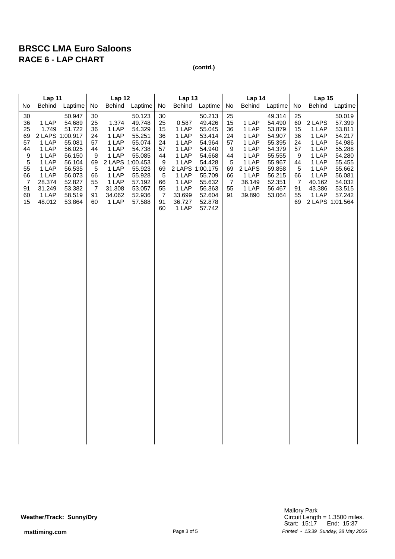| Lap 11                                                                                              |                                                                                                                                |                                                                                                                                | Lap 12                                                                                 |                                                                                                                               |                                                                                                                                | Lap 13                                                                                                        |                                                                                                                     |                                                                                                                                                             | Lap 14                                                                           |                                                                                                             |                                                                                                                                | <b>Lap 15</b>                                                                           |                                                                                                                                |                                                                                                                                |
|-----------------------------------------------------------------------------------------------------|--------------------------------------------------------------------------------------------------------------------------------|--------------------------------------------------------------------------------------------------------------------------------|----------------------------------------------------------------------------------------|-------------------------------------------------------------------------------------------------------------------------------|--------------------------------------------------------------------------------------------------------------------------------|---------------------------------------------------------------------------------------------------------------|---------------------------------------------------------------------------------------------------------------------|-------------------------------------------------------------------------------------------------------------------------------------------------------------|----------------------------------------------------------------------------------|-------------------------------------------------------------------------------------------------------------|--------------------------------------------------------------------------------------------------------------------------------|-----------------------------------------------------------------------------------------|--------------------------------------------------------------------------------------------------------------------------------|--------------------------------------------------------------------------------------------------------------------------------|
| No                                                                                                  | <b>Behind</b>                                                                                                                  | Laptime                                                                                                                        | No                                                                                     | <b>Behind</b>                                                                                                                 | Laptime                                                                                                                        | No                                                                                                            | <b>Behind</b>                                                                                                       | Laptime                                                                                                                                                     | No                                                                               | <b>Behind</b>                                                                                               | Laptime                                                                                                                        | No                                                                                      | <b>Behind</b>                                                                                                                  | Laptime                                                                                                                        |
| 30<br>36<br>25<br>69<br>57<br>44<br>9<br>$\sqrt{5}$<br>55<br>66<br>$\overline{7}$<br>91<br>60<br>15 | 1 LAP<br>1.749<br>2 LAPS 1:00.917<br>1 LAP<br>1 LAP<br>1 LAP<br>1 LAP<br>1 LAP<br>1 LAP<br>28.374<br>31.249<br>1 LAP<br>48.012 | 50.947<br>54.689<br>51.722<br>55.081<br>56.025<br>56.150<br>56.104<br>56.535<br>56.073<br>52.827<br>53.382<br>58.519<br>53.864 | 30<br>25<br>36<br>24<br>57<br>44<br>9<br>69<br>$\sqrt{5}$<br>66<br>55<br>7<br>91<br>60 | 1.374<br>1 LAP<br>1 LAP<br>1 LAP<br>1 LAP<br>1 LAP<br>2 LAPS 1:00.453<br>1 LAP<br>1 LAP<br>1 LAP<br>31.308<br>34.062<br>1 LAP | 50.123<br>49.748<br>54.329<br>55.251<br>55.074<br>54.738<br>55.085<br>55.923<br>55.928<br>57.192<br>53.057<br>52.936<br>57.588 | 30<br>25<br>15<br>36<br>24<br>57<br>44<br>9<br>69<br>$\overline{5}$<br>66<br>55<br>$\overline{7}$<br>91<br>60 | 0.587<br>1 LAP<br>1 LAP<br>1 LAP<br>1 LAP<br>1 LAP<br>1 LAP<br>1 LAP<br>1 LAP<br>1 LAP<br>33.699<br>36.727<br>1 LAP | 50.213<br>49.426<br>55.045<br>53.414<br>54.964<br>54.940<br>54.668<br>54.428<br>2 LAPS 1:00.175<br>55.709<br>55.632<br>56.363<br>52.604<br>52.878<br>57.742 | 25<br>15<br>36<br>24<br>57<br>9<br>44<br>$\sqrt{5}$<br>69<br>66<br>7<br>55<br>91 | 1 LAP<br>1 LAP<br>1 LAP<br>1 LAP<br>1 LAP<br>1 LAP<br>1 LAP<br>2 LAPS<br>1 LAP<br>36.149<br>1 LAP<br>39.890 | 49.314<br>54.490<br>53.879<br>54.907<br>55.395<br>54.379<br>55.555<br>55.967<br>59.858<br>56.215<br>52.351<br>56.467<br>53.064 | 25<br>60<br>15<br>36<br>24<br>57<br>9<br>44<br>$\,$ 5 $\,$<br>66<br>7<br>91<br>55<br>69 | 2 LAPS<br>1 LAP<br>1 LAP<br>1 LAP<br>1 LAP<br>1 LAP<br>1 LAP<br>1 LAP<br>1 LAP<br>40.162<br>43.386<br>1 LAP<br>2 LAPS 1:01.564 | 50.019<br>57.399<br>53.811<br>54.217<br>54.986<br>55.288<br>54.280<br>55.455<br>55.662<br>56.081<br>54.032<br>53.515<br>57.242 |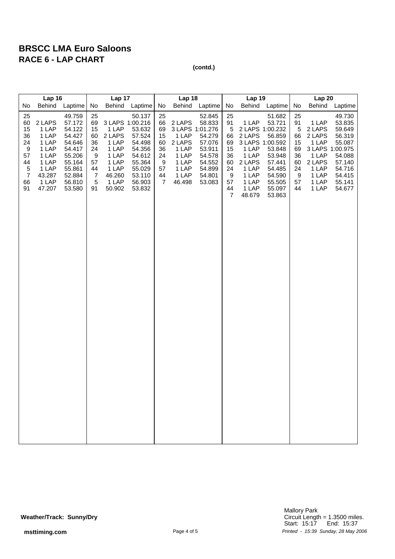| Lap 16                                                                                  |                                                                                                    |                                                                                                                      | Lap 17                                                                                  |                                                                                                              |                                                                                                            | Lap 18                                                       |                                                                                  |                                                                                                                     | <b>Lap 19</b>                                                                        |                                                                                           |                                                                                                                                                  | <b>Lap 20</b>                                                      |                                                                                                              |                                                                                                            |
|-----------------------------------------------------------------------------------------|----------------------------------------------------------------------------------------------------|----------------------------------------------------------------------------------------------------------------------|-----------------------------------------------------------------------------------------|--------------------------------------------------------------------------------------------------------------|------------------------------------------------------------------------------------------------------------|--------------------------------------------------------------|----------------------------------------------------------------------------------|---------------------------------------------------------------------------------------------------------------------|--------------------------------------------------------------------------------------|-------------------------------------------------------------------------------------------|--------------------------------------------------------------------------------------------------------------------------------------------------|--------------------------------------------------------------------|--------------------------------------------------------------------------------------------------------------|------------------------------------------------------------------------------------------------------------|
| No                                                                                      | Behind                                                                                             | Laptime                                                                                                              | No                                                                                      | Behind                                                                                                       | Laptime                                                                                                    | No                                                           | Behind                                                                           | Laptime                                                                                                             | No                                                                                   | Behind                                                                                    | Laptime                                                                                                                                          | No                                                                 | <b>Behind</b>                                                                                                | Laptime                                                                                                    |
| 25<br>60<br>15<br>36<br>24<br>9<br>57<br>44<br>$\sqrt{5}$<br>$\overline{7}$<br>66<br>91 | 2 LAPS<br>1 LAP<br>1 LAP<br>1 LAP<br>1 LAP<br>1 LAP<br>1 LAP<br>1 LAP<br>43.287<br>1 LAP<br>47.207 | 49.759<br>57.172<br>54.122<br>54.427<br>54.646<br>54.417<br>55.206<br>55.164<br>55.861<br>52.884<br>56.810<br>53.580 | 25<br>69<br>15<br>60<br>36<br>24<br>9<br>57<br>44<br>$\overline{7}$<br>$\sqrt{5}$<br>91 | 3 LAPS 1:00.216<br>1 LAP<br>2 LAPS<br>1 LAP<br>1 LAP<br>1 LAP<br>1 LAP<br>1 LAP<br>46.260<br>1 LAP<br>50.902 | 50.137<br>53.632<br>57.524<br>54.498<br>54.356<br>54.612<br>55.364<br>55.029<br>53.110<br>56.903<br>53.832 | 25<br>66<br>69<br>15<br>60<br>36<br>24<br>9<br>57<br>44<br>7 | 2 LAPS<br>1 LAP<br>2 LAPS<br>1 LAP<br>1 LAP<br>1 LAP<br>1 LAP<br>1 LAP<br>46.498 | 52.845<br>58.833<br>3 LAPS 1:01.276<br>54.279<br>57.076<br>53.911<br>54.578<br>54.552<br>54.899<br>54.801<br>53.083 | 25<br>91<br>5<br>66<br>69<br>15<br>36<br>60<br>24<br>9<br>57<br>44<br>$\overline{7}$ | 1 LAP<br>2 LAPS<br>1 LAP<br>1 LAP<br>2 LAPS<br>1 LAP<br>1 LAP<br>1 LAP<br>1 LAP<br>48.679 | 51.682<br>53.721<br>2 LAPS 1:00.232<br>56.859<br>3 LAPS 1:00.592<br>53.848<br>53.948<br>57.441<br>54.485<br>54.590<br>55.505<br>55.097<br>53.863 | 25<br>91<br>5<br>66<br>15<br>69<br>36<br>60<br>24<br>9<br>57<br>44 | 1 LAP<br>2 LAPS<br>2 LAPS<br>1 LAP<br>3 LAPS 1:00.975<br>1 LAP<br>2 LAPS<br>1 LAP<br>1 LAP<br>1 LAP<br>1 LAP | 49.730<br>53.835<br>59.649<br>56.319<br>55.087<br>54.088<br>57.140<br>54.716<br>54.415<br>55.141<br>54.677 |